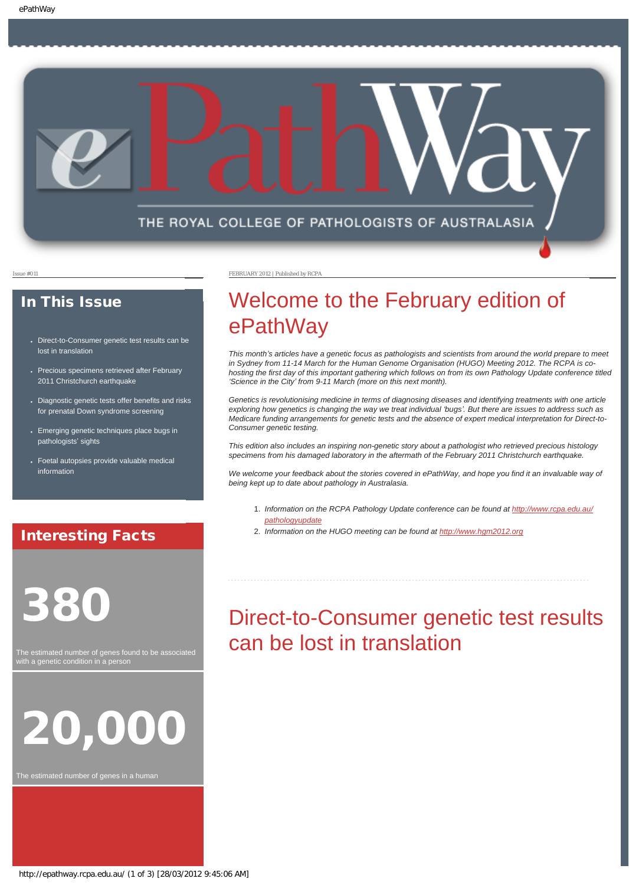

### In This Issue

- Direct-to-Consumer genetic test results can be [lost in translation](#page-0-0)
- [Precious specimens retrieved after February](#page-1-0) [2011 Christchurch earthquake](#page-1-0)
- Diagnostic genetic tests offer benefits and risks [for prenatal Down syndrome screening](#page-1-1)
- [Emerging genetic techniques place bugs in](#page-2-0) [pathologists](#page-2-0)' sights
- Foetal autopsies provide valuable medical [information](#page-2-1)

### Interesting Facts

# <span id="page-0-0"></span>380

The estimated number of genes found to be associated with a genetic condition in a person



The estimated number of genes in a human

Issue #011 FEBRUARY 2012 | Published by RCPA

# Welcome to the February edition of ePathWay

*This month's articles have a genetic focus as pathologists and scientists from around the world prepare to meet in Sydney from 11-14 March for the Human Genome Organisation (HUGO) Meeting 2012. The RCPA is cohosting the first day of this important gathering which follows on from its own Pathology Update conference titled 'Science in the City' from 9-11 March (more on this next month).* 

Genetics is revolutionising medicine in terms of diagnosing diseases and identifying treatments with one article *exploring how genetics is changing the way we treat individual 'bugs'. But there are issues to address such as Medicare funding arrangements for genetic tests and the absence of expert medical interpretation for Direct-to-Consumer genetic testing.* 

*This edition also includes an inspiring non-genetic story about a pathologist who retrieved precious histology specimens from his damaged laboratory in the aftermath of the February 2011 Christchurch earthquake.* 

*We welcome your feedback about the stories covered in ePathWay, and hope you find it an invaluable way of being kept up to date about pathology in Australasia.*

- 1. *Information on the RCPA Pathology Update conference can be found at [http://www.rcpa.edu.au/](http://www.rcpa.edu.au/pathologyupdate) [pathologyupdate](http://www.rcpa.edu.au/pathologyupdate)*
- 2. *Information on the HUGO meeting can be found at [http://www.hgm2012.org](http://www.hgm2012.org/)*

# Direct-to-Consumer genetic test results can be lost in translation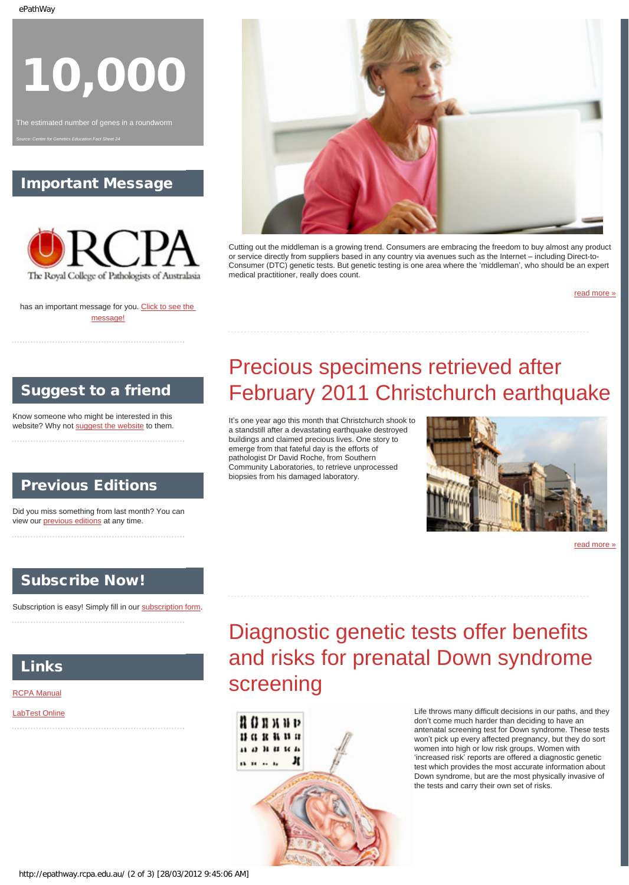10,000

The estimated number of genes in a roundworm *Source: Centre for Genetics Education Fact Sheet 24*

### Important Message



has an important message for you. [Click to see the](http://epathway.rcpa.edu.au/notice.html) [message!](http://epathway.rcpa.edu.au/notice.html)



Cutting out the middleman is a growing trend. Consumers are embracing the freedom to buy almost any product or service directly from suppliers based in any country via avenues such as the Internet – including Direct-to-Consumer (DTC) genetic tests. But genetic testing is one area where the 'middleman', who should be an expert medical practitioner, really does count.

[read more »](#page-3-0)

### <span id="page-1-0"></span>Suggest to a friend

Know someone who might be interested in this website? Why not [suggest the website](mailto:?Subject=I%20think%20you%20should%20read%20this%20Newsletter=
http://epathway.rcpa.edu.au/index.html) to them.

### Previous Editions

Did you miss something from last month? You can view our [previous editions](http://epathway.rcpa.edu.au/previous.html) at any time.

### Subscribe Now!

<span id="page-1-1"></span>Subscription is easy! Simply fill in our [subscription form.](http://epathway.rcpa.edu.au/subscription.html) 

Links

#### [RCPA Manual](http://rcpamanual.edu.au/)

[LabTest Online](http://www.labtestsonline.org.au/)

# Precious specimens retrieved after February 2011 Christchurch earthquake

It's one year ago this month that Christchurch shook to a standstill after a devastating earthquake destroyed buildings and claimed precious lives. One story to emerge from that fateful day is the efforts of pathologist Dr David Roche, from Southern Community Laboratories, to retrieve unprocessed biopsies from his damaged laboratory.



[read more »](#page-5-0)

# Diagnostic genetic tests offer benefits and risks for prenatal Down syndrome screening



Life throws many difficult decisions in our paths, and they don't come much harder than deciding to have an antenatal screening test for Down syndrome. These tests won't pick up every affected pregnancy, but they do sort women into high or low risk groups. Women with 'increased risk' reports are offered a diagnostic genetic test which provides the most accurate information about Down syndrome, but are the most physically invasive of the tests and carry their own set of risks.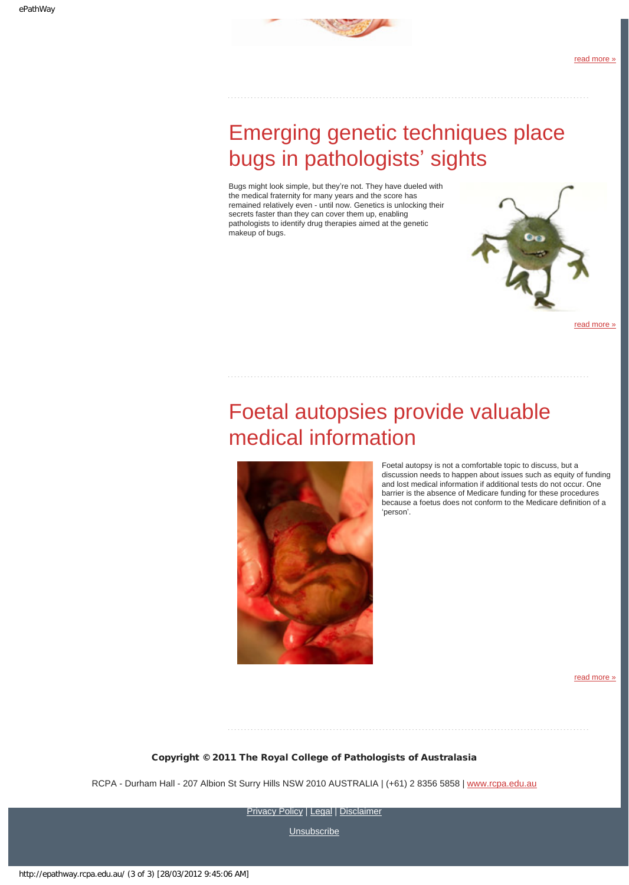

# <span id="page-2-0"></span>Emerging genetic techniques place bugs in pathologists' sights

Bugs might look simple, but they're not. They have dueled with the medical fraternity for many years and the score has remained relatively even - until now. Genetics is unlocking their secrets faster than they can cover them up, enabling pathologists to identify drug therapies aimed at the genetic makeup of bugs.



[read more »](#page-8-0)

# <span id="page-2-1"></span>Foetal autopsies provide valuable medical information



Foetal autopsy is not a comfortable topic to discuss, but a discussion needs to happen about issues such as equity of funding and lost medical information if additional tests do not occur. One barrier is the absence of Medicare funding for these procedures because a foetus does not conform to the Medicare definition of a 'person'.

[read more »](#page-10-0)

#### Copyright © 2011 The Royal College of Pathologists of Australasia

RCPA - Durham Hall - 207 Albion St Surry Hills NSW 2010 AUSTRALIA | (+61) 2 8356 5858 | [www.rcpa.edu.au](http://www.rcpa.edu.au/)

[Privacy Policy](http://www.rcpa.edu.au/Privacy.htm) | [Legal](http://www.rcpa.edu.au/Legal.htm) | [Disclaimer](http://www.rcpa.edu.au/Disclaimer.htm)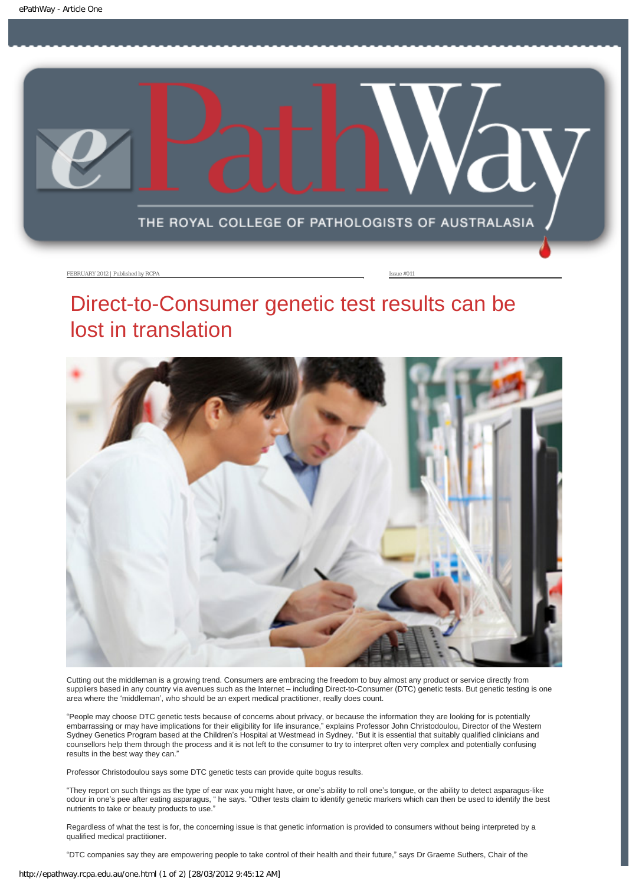<span id="page-3-0"></span>

### Direct-to-Consumer genetic test results can be lost in translation



Cutting out the middleman is a growing trend. Consumers are embracing the freedom to buy almost any product or service directly from suppliers based in any country via avenues such as the Internet – including Direct-to-Consumer (DTC) genetic tests. But genetic testing is one area where the 'middleman', who should be an expert medical practitioner, really does count.

"People may choose DTC genetic tests because of concerns about privacy, or because the information they are looking for is potentially embarrassing or may have implications for their eligibility for life insurance," explains Professor John Christodoulou, Director of the Western Sydney Genetics Program based at the Children's Hospital at Westmead in Sydney. "But it is essential that suitably qualified clinicians and counsellors help them through the process and it is not left to the consumer to try to interpret often very complex and potentially confusing results in the best way they can."

Professor Christodoulou says some DTC genetic tests can provide quite bogus results.

"They report on such things as the type of ear wax you might have, or one's ability to roll one's tongue, or the ability to detect asparagus-like odour in one's pee after eating asparagus, " he says. "Other tests claim to identify genetic markers which can then be used to identify the best nutrients to take or beauty products to use."

Regardless of what the test is for, the concerning issue is that genetic information is provided to consumers without being interpreted by a qualified medical practitioner.

"DTC companies say they are empowering people to take control of their health and their future," says Dr Graeme Suthers, Chair of the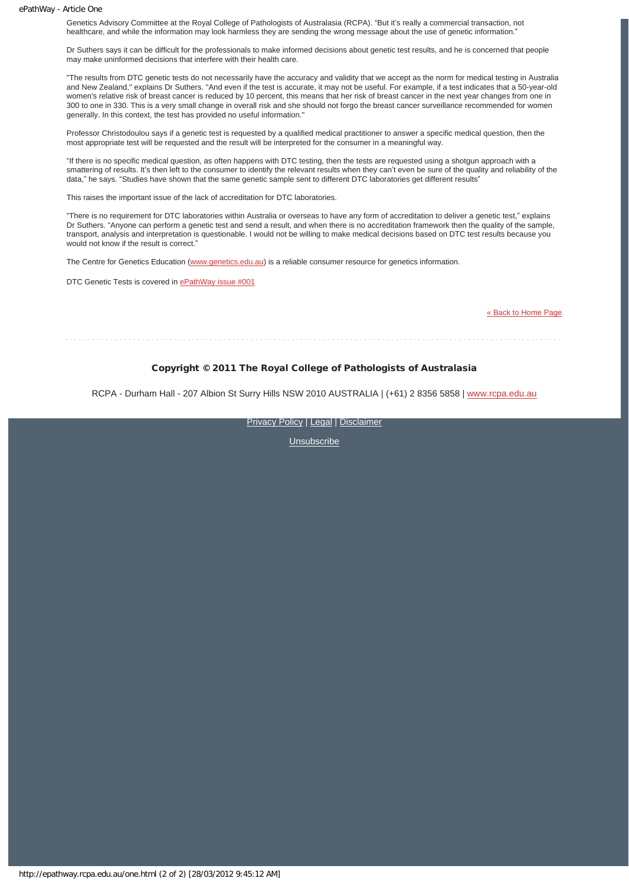#### ePathWay - Article One

Genetics Advisory Committee at the Royal College of Pathologists of Australasia (RCPA). "But it's really a commercial transaction, not healthcare, and while the information may look harmless they are sending the wrong message about the use of genetic information."

Dr Suthers says it can be difficult for the professionals to make informed decisions about genetic test results, and he is concerned that people may make uninformed decisions that interfere with their health care.

"The results from DTC genetic tests do not necessarily have the accuracy and validity that we accept as the norm for medical testing in Australia and New Zealand," explains Dr Suthers. "And even if the test is accurate, it may not be useful. For example, if a test indicates that a 50-year-old women's relative risk of breast cancer is reduced by 10 percent, this means that her risk of breast cancer in the next year changes from one in 300 to one in 330. This is a very small change in overall risk and she should not forgo the breast cancer surveillance recommended for women generally. In this context, the test has provided no useful information."

Professor Christodoulou says if a genetic test is requested by a qualified medical practitioner to answer a specific medical question, then the most appropriate test will be requested and the result will be interpreted for the consumer in a meaningful way.

"If there is no specific medical question, as often happens with DTC testing, then the tests are requested using a shotgun approach with a smattering of results. It's then left to the consumer to identify the relevant results when they can't even be sure of the quality and reliability of the data," he says. "Studies have shown that the same genetic sample sent to different DTC laboratories get different results"

This raises the important issue of the lack of accreditation for DTC laboratories.

"There is no requirement for DTC laboratories within Australia or overseas to have any form of accreditation to deliver a genetic test," explains Dr Suthers. "Anyone can perform a genetic test and send a result, and when there is no accreditation framework then the quality of the sample, transport, analysis and interpretation is questionable. I would not be willing to make medical decisions based on DTC test results because you would not know if the result is correct."

The Centre for Genetics Education ([www.genetics.edu.au\)](http://www.genetics.edu.au/) is a reliable consumer resource for genetics information.

DTC Genetic Tests is covered in [ePathWay issue #001](http://epathway.rcpa.edu.au/previous/001_0311.pdf)

[« Back to Home Page](http://epathway.rcpa.edu.au/index.html)

#### Copyright © 2011 The Royal College of Pathologists of Australasia

RCPA - Durham Hall - 207 Albion St Surry Hills NSW 2010 AUSTRALIA | (+61) 2 8356 5858 | [www.rcpa.edu.au](http://www.rcpa.edu.au/)

[Privacy Policy](http://www.rcpa.edu.au/Privacy.htm) | [Legal](http://www.rcpa.edu.au/Legal.htm) | [Disclaimer](http://www.rcpa.edu.au/Disclaimer.htm)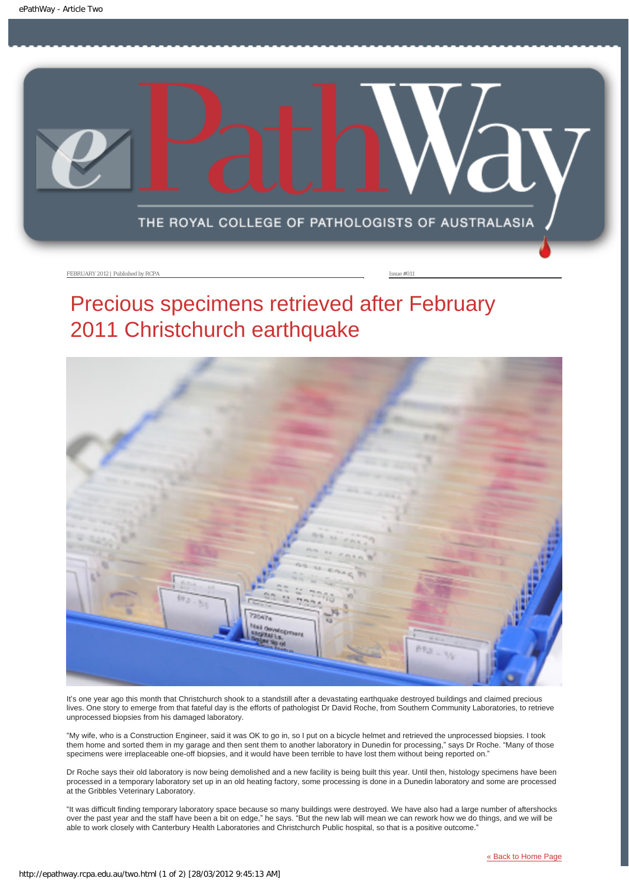<span id="page-5-0"></span>

FEBRUARY 2012 | Published by RCPA **Issue #011** 

# Precious specimens retrieved after February 2011 Christchurch earthquake



It's one year ago this month that Christchurch shook to a standstill after a devastating earthquake destroyed buildings and claimed precious lives. One story to emerge from that fateful day is the efforts of pathologist Dr David Roche, from Southern Community Laboratories, to retrieve unprocessed biopsies from his damaged laboratory.

"My wife, who is a Construction Engineer, said it was OK to go in, so I put on a bicycle helmet and retrieved the unprocessed biopsies. I took them home and sorted them in my garage and then sent them to another laboratory in Dunedin for processing," says Dr Roche. "Many of those specimens were irreplaceable one-off biopsies, and it would have been terrible to have lost them without being reported on."

Dr Roche says their old laboratory is now being demolished and a new facility is being built this year. Until then, histology specimens have been processed in a temporary laboratory set up in an old heating factory, some processing is done in a Dunedin laboratory and some are processed at the Gribbles Veterinary Laboratory.

"It was difficult finding temporary laboratory space because so many buildings were destroyed. We have also had a large number of aftershocks over the past year and the staff have been a bit on edge," he says. "But the new lab will mean we can rework how we do things, and we will be able to work closely with Canterbury Health Laboratories and Christchurch Public hospital, so that is a positive outcome."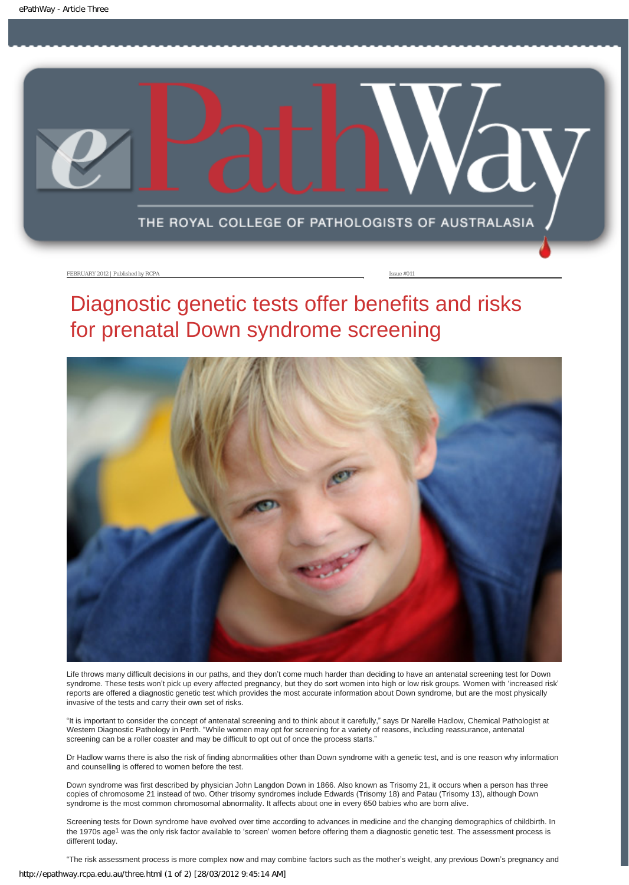<span id="page-6-0"></span>

# Diagnostic genetic tests offer benefits and risks for prenatal Down syndrome screening



Life throws many difficult decisions in our paths, and they don't come much harder than deciding to have an antenatal screening test for Down syndrome. These tests won't pick up every affected pregnancy, but they do sort women into high or low risk groups. Women with 'increased risk' reports are offered a diagnostic genetic test which provides the most accurate information about Down syndrome, but are the most physically invasive of the tests and carry their own set of risks.

"It is important to consider the concept of antenatal screening and to think about it carefully," says Dr Narelle Hadlow, Chemical Pathologist at Western Diagnostic Pathology in Perth. "While women may opt for screening for a variety of reasons, including reassurance, antenatal screening can be a roller coaster and may be difficult to opt out of once the process starts."

Dr Hadlow warns there is also the risk of finding abnormalities other than Down syndrome with a genetic test, and is one reason why information and counselling is offered to women before the test.

Down syndrome was first described by physician John Langdon Down in 1866. Also known as Trisomy 21, it occurs when a person has three copies of chromosome 21 instead of two. Other trisomy syndromes include Edwards (Trisomy 18) and Patau (Trisomy 13), although Down syndrome is the most common chromosomal abnormality. It affects about one in every 650 babies who are born alive.

Screening tests for Down syndrome have evolved over time according to advances in medicine and the changing demographics of childbirth. In the 1970s age<sup>1</sup> was the only risk factor available to 'screen' women before offering them a diagnostic genetic test. The assessment process is different today.

"The risk assessment process is more complex now and may combine factors such as the mother's weight, any previous Down's pregnancy and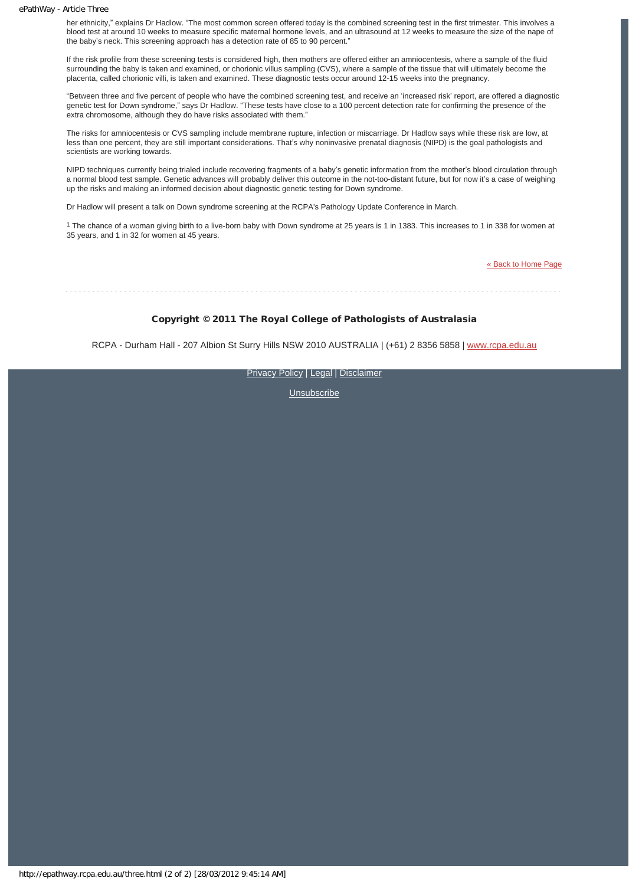#### ePathWay - Article Three

her ethnicity," explains Dr Hadlow. "The most common screen offered today is the combined screening test in the first trimester. This involves a blood test at around 10 weeks to measure specific maternal hormone levels, and an ultrasound at 12 weeks to measure the size of the nape of the baby's neck. This screening approach has a detection rate of 85 to 90 percent."

If the risk profile from these screening tests is considered high, then mothers are offered either an amniocentesis, where a sample of the fluid surrounding the baby is taken and examined, or chorionic villus sampling (CVS), where a sample of the tissue that will ultimately become the placenta, called chorionic villi, is taken and examined. These diagnostic tests occur around 12-15 weeks into the pregnancy.

"Between three and five percent of people who have the combined screening test, and receive an 'increased risk' report, are offered a diagnostic genetic test for Down syndrome," says Dr Hadlow. "These tests have close to a 100 percent detection rate for confirming the presence of the extra chromosome, although they do have risks associated with them."

The risks for amniocentesis or CVS sampling include membrane rupture, infection or miscarriage. Dr Hadlow says while these risk are low, at less than one percent, they are still important considerations. That's why noninvasive prenatal diagnosis (NIPD) is the goal pathologists and scientists are working towards.

NIPD techniques currently being trialed include recovering fragments of a baby's genetic information from the mother's blood circulation through a normal blood test sample. Genetic advances will probably deliver this outcome in the not-too-distant future, but for now it's a case of weighing up the risks and making an informed decision about diagnostic genetic testing for Down syndrome.

Dr Hadlow will present a talk on Down syndrome screening at the RCPA's Pathology Update Conference in March.

1 The chance of a woman giving birth to a live-born baby with Down syndrome at 25 years is 1 in 1383. This increases to 1 in 338 for women at 35 years, and 1 in 32 for women at 45 years.

[« Back to Home Page](http://epathway.rcpa.edu.au/index.html)

#### Copyright © 2011 The Royal College of Pathologists of Australasia

RCPA - Durham Hall - 207 Albion St Surry Hills NSW 2010 AUSTRALIA | (+61) 2 8356 5858 | [www.rcpa.edu.au](http://www.rcpa.edu.au/)

[Privacy Policy](http://www.rcpa.edu.au/Privacy.htm) | [Legal](http://www.rcpa.edu.au/Legal.htm) | [Disclaimer](http://www.rcpa.edu.au/Disclaimer.htm)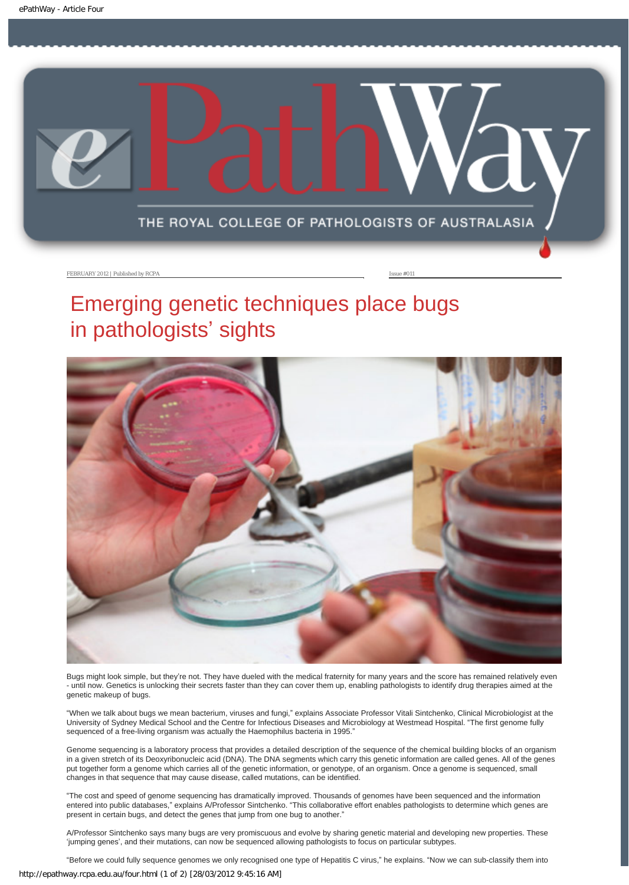<span id="page-8-0"></span>

# Emerging genetic techniques place bugs in pathologists' sights



Bugs might look simple, but they're not. They have dueled with the medical fraternity for many years and the score has remained relatively even - until now. Genetics is unlocking their secrets faster than they can cover them up, enabling pathologists to identify drug therapies aimed at the genetic makeup of bugs.

"When we talk about bugs we mean bacterium, viruses and fungi," explains Associate Professor Vitali Sintchenko, Clinical Microbiologist at the University of Sydney Medical School and the Centre for Infectious Diseases and Microbiology at Westmead Hospital. "The first genome fully sequenced of a free-living organism was actually the Haemophilus bacteria in 1995."

Genome sequencing is a laboratory process that provides a detailed description of the sequence of the chemical building blocks of an organism in a given stretch of its Deoxyribonucleic acid (DNA). The DNA segments which carry this genetic information are called genes. All of the genes put together form a genome which carries all of the genetic information, or genotype, of an organism. Once a genome is sequenced, small changes in that sequence that may cause disease, called mutations, can be identified.

"The cost and speed of genome sequencing has dramatically improved. Thousands of genomes have been sequenced and the information entered into public databases," explains A/Professor Sintchenko. "This collaborative effort enables pathologists to determine which genes are present in certain bugs, and detect the genes that jump from one bug to another."

A/Professor Sintchenko says many bugs are very promiscuous and evolve by sharing genetic material and developing new properties. These 'jumping genes', and their mutations, can now be sequenced allowing pathologists to focus on particular subtypes.

"Before we could fully sequence genomes we only recognised one type of Hepatitis C virus," he explains. "Now we can sub-classify them into http://epathway.rcpa.edu.au/four.html (1 of 2) [28/03/2012 9:45:16 AM]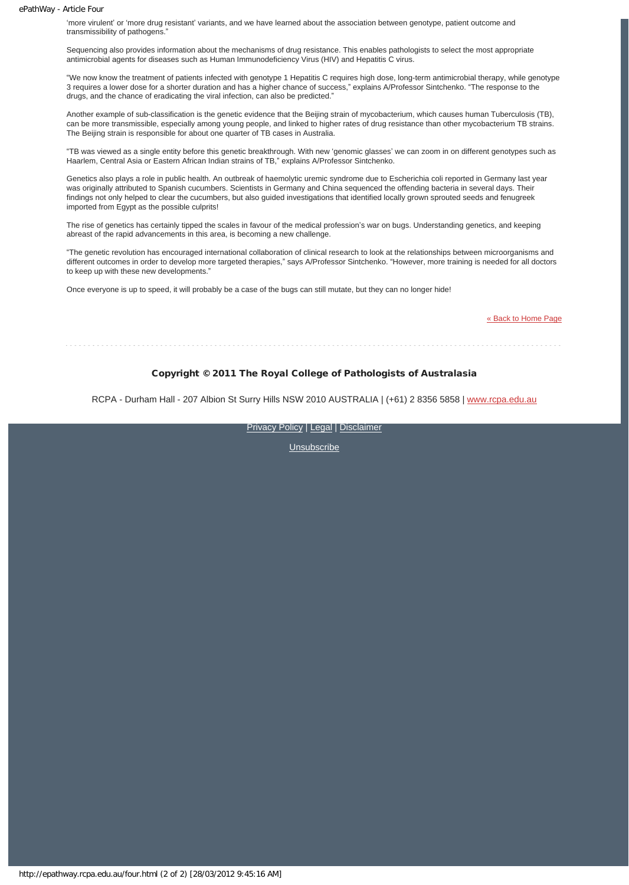#### ePathWay - Article Four

'more virulent' or 'more drug resistant' variants, and we have learned about the association between genotype, patient outcome and transmissibility of pathogens."

Sequencing also provides information about the mechanisms of drug resistance. This enables pathologists to select the most appropriate antimicrobial agents for diseases such as Human Immunodeficiency Virus (HIV) and Hepatitis C virus.

"We now know the treatment of patients infected with genotype 1 Hepatitis C requires high dose, long-term antimicrobial therapy, while genotype 3 requires a lower dose for a shorter duration and has a higher chance of success," explains A/Professor Sintchenko. "The response to the drugs, and the chance of eradicating the viral infection, can also be predicted."

Another example of sub-classification is the genetic evidence that the Beijing strain of mycobacterium, which causes human Tuberculosis (TB), can be more transmissible, especially among young people, and linked to higher rates of drug resistance than other mycobacterium TB strains. The Beijing strain is responsible for about one quarter of TB cases in Australia.

"TB was viewed as a single entity before this genetic breakthrough. With new 'genomic glasses' we can zoom in on different genotypes such as Haarlem, Central Asia or Eastern African Indian strains of TB," explains A/Professor Sintchenko.

Genetics also plays a role in public health. An outbreak of haemolytic uremic syndrome due to Escherichia coli reported in Germany last year was originally attributed to Spanish cucumbers. Scientists in Germany and China sequenced the offending bacteria in several days. Their findings not only helped to clear the cucumbers, but also guided investigations that identified locally grown sprouted seeds and fenugreek imported from Egypt as the possible culprits!

The rise of genetics has certainly tipped the scales in favour of the medical profession's war on bugs. Understanding genetics, and keeping abreast of the rapid advancements in this area, is becoming a new challenge.

"The genetic revolution has encouraged international collaboration of clinical research to look at the relationships between microorganisms and different outcomes in order to develop more targeted therapies," says A/Professor Sintchenko. "However, more training is needed for all doctors to keep up with these new developments."

Once everyone is up to speed, it will probably be a case of the bugs can still mutate, but they can no longer hide!

[« Back to Home Page](http://epathway.rcpa.edu.au/index.html)

#### Copyright © 2011 The Royal College of Pathologists of Australasia

RCPA - Durham Hall - 207 Albion St Surry Hills NSW 2010 AUSTRALIA | (+61) 2 8356 5858 | [www.rcpa.edu.au](http://www.rcpa.edu.au/)

[Privacy Policy](http://www.rcpa.edu.au/Privacy.htm) | [Legal](http://www.rcpa.edu.au/Legal.htm) | [Disclaimer](http://www.rcpa.edu.au/Disclaimer.htm)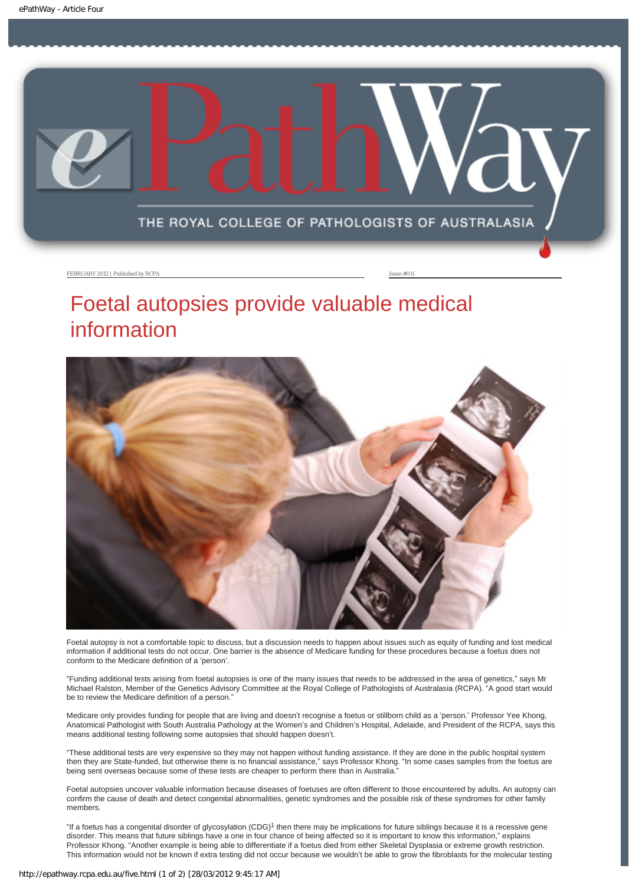<span id="page-10-0"></span>

# Foetal autopsies provide valuable medical information



Foetal autopsy is not a comfortable topic to discuss, but a discussion needs to happen about issues such as equity of funding and lost medical information if additional tests do not occur. One barrier is the absence of Medicare funding for these procedures because a foetus does not conform to the Medicare definition of a 'person'.

"Funding additional tests arising from foetal autopsies is one of the many issues that needs to be addressed in the area of genetics," says Mr Michael Ralston, Member of the Genetics Advisory Committee at the Royal College of Pathologists of Australasia (RCPA). "A good start would be to review the Medicare definition of a person."

Medicare only provides funding for people that are living and doesn't recognise a foetus or stillborn child as a 'person.' Professor Yee Khong, Anatomical Pathologist with South Australia Pathology at the Women's and Children's Hospital, Adelaide, and President of the RCPA, says this means additional testing following some autopsies that should happen doesn't.

"These additional tests are very expensive so they may not happen without funding assistance. If they are done in the public hospital system then they are State-funded, but otherwise there is no financial assistance," says Professor Khong. "In some cases samples from the foetus are being sent overseas because some of these tests are cheaper to perform there than in Australia."

Foetal autopsies uncover valuable information because diseases of foetuses are often different to those encountered by adults. An autopsy can confirm the cause of death and detect congenital abnormalities, genetic syndromes and the possible risk of these syndromes for other family members.

"If a foetus has a congenital disorder of glycosylation (CDG)1 then there may be implications for future siblings because it is a recessive gene disorder. This means that future siblings have a one in four chance of being affected so it is important to know this information," explains Professor Khong. "Another example is being able to differentiate if a foetus died from either Skeletal Dysplasia or extreme growth restriction. This information would not be known if extra testing did not occur because we wouldn't be able to grow the fibroblasts for the molecular testing